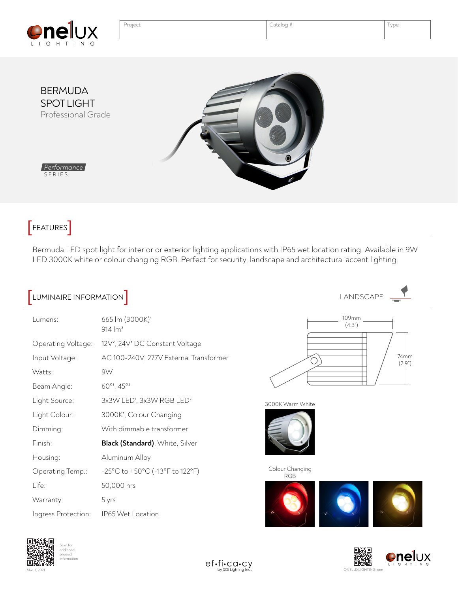



FEATURES<sup>]</sup>

Bermuda LED spot light for interior or exterior lighting applications with IP65 wet location rating. Available in 9W LED 3000K white or colour changing RGB. Perfect for security, landscape and architectural accent lighting.

| LUMINAIRE INFORMATION |                                                         | LANDSCAPE                     |
|-----------------------|---------------------------------------------------------|-------------------------------|
| Lumens:               | 665 lm (3000K) <sup>1</sup><br>$914 \, \text{Im}^2$     | 109mm<br>(4.3")               |
| Operating Voltage:    | 12V <sup>2</sup> , 24V <sup>1</sup> DC Constant Voltage |                               |
| Input Voltage:        | AC 100-240V, 277V External Transformer                  | 74mm<br>(2.9")                |
| Watts:                | 9W                                                      |                               |
| Beam Angle:           | 60° <sup>1</sup> , 45° <sup>2</sup>                     |                               |
| Light Source:         | 3x3W LED <sup>1</sup> , 3x3W RGB LED <sup>2</sup>       | 3000K Warm White              |
| Light Colour:         | 3000K <sup>1</sup> , Colour Changing                    |                               |
| Dimming:              | With dimmable transformer                               |                               |
| Finish:               | Black (Standard), White, Silver                         |                               |
| Housing:              | Aluminum Alloy                                          |                               |
| Operating Temp.:      | -25°C to +50°C (-13°F to 122°F)                         | Colour Changing<br><b>RGB</b> |
| Life:                 | 50,000 hrs                                              |                               |
| Warranty:             | 5 yrs                                                   |                               |
| Ingress Protection:   | IP65 Wet Location                                       |                               |





Mar. 1, 2021